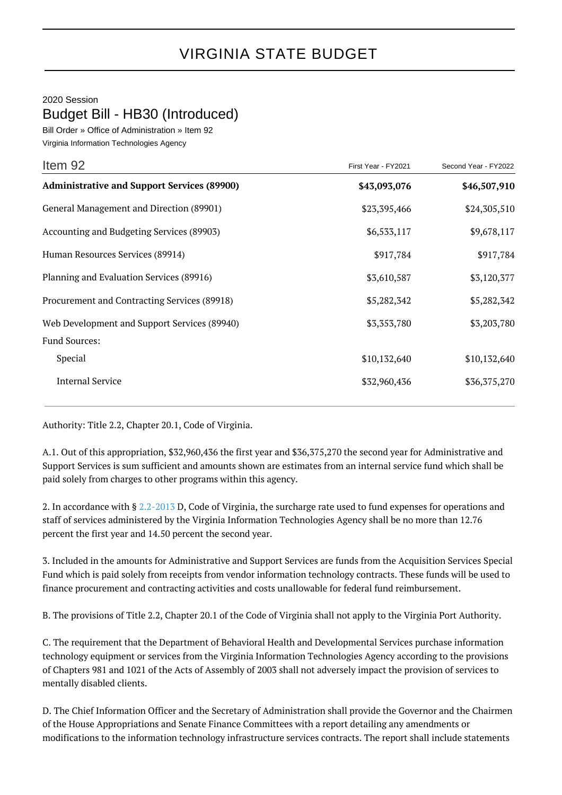## VIRGINIA STATE BUDGET

## 2020 Session

Budget Bill - HB30 (Introduced)

Bill Order » Office of Administration » Item 92 Virginia Information Technologies Agency

| Item 92                                            | First Year - FY2021 | Second Year - FY2022 |
|----------------------------------------------------|---------------------|----------------------|
| <b>Administrative and Support Services (89900)</b> | \$43,093,076        | \$46,507,910         |
| General Management and Direction (89901)           | \$23,395,466        | \$24,305,510         |
| Accounting and Budgeting Services (89903)          | \$6,533,117         | \$9,678,117          |
| Human Resources Services (89914)                   | \$917,784           | \$917,784            |
| Planning and Evaluation Services (89916)           | \$3,610,587         | \$3,120,377          |
| Procurement and Contracting Services (89918)       | \$5,282,342         | \$5,282,342          |
| Web Development and Support Services (89940)       | \$3,353,780         | \$3,203,780          |
| <b>Fund Sources:</b>                               |                     |                      |
| Special                                            | \$10,132,640        | \$10,132,640         |
| <b>Internal Service</b>                            | \$32,960,436        | \$36,375,270         |

Authority: Title 2.2, Chapter 20.1, Code of Virginia.

A.1. Out of this appropriation, \$32,960,436 the first year and \$36,375,270 the second year for Administrative and Support Services is sum sufficient and amounts shown are estimates from an internal service fund which shall be paid solely from charges to other programs within this agency.

2. In accordance with § [2.2-2013](http://law.lis.virginia.gov/vacode/2.2-2013/) D, Code of Virginia, the surcharge rate used to fund expenses for operations and staff of services administered by the Virginia Information Technologies Agency shall be no more than 12.76 percent the first year and 14.50 percent the second year.

3. Included in the amounts for Administrative and Support Services are funds from the Acquisition Services Special Fund which is paid solely from receipts from vendor information technology contracts. These funds will be used to finance procurement and contracting activities and costs unallowable for federal fund reimbursement.

B. The provisions of Title 2.2, Chapter 20.1 of the Code of Virginia shall not apply to the Virginia Port Authority.

C. The requirement that the Department of Behavioral Health and Developmental Services purchase information technology equipment or services from the Virginia Information Technologies Agency according to the provisions of Chapters 981 and 1021 of the Acts of Assembly of 2003 shall not adversely impact the provision of services to mentally disabled clients.

D. The Chief Information Officer and the Secretary of Administration shall provide the Governor and the Chairmen of the House Appropriations and Senate Finance Committees with a report detailing any amendments or modifications to the information technology infrastructure services contracts. The report shall include statements